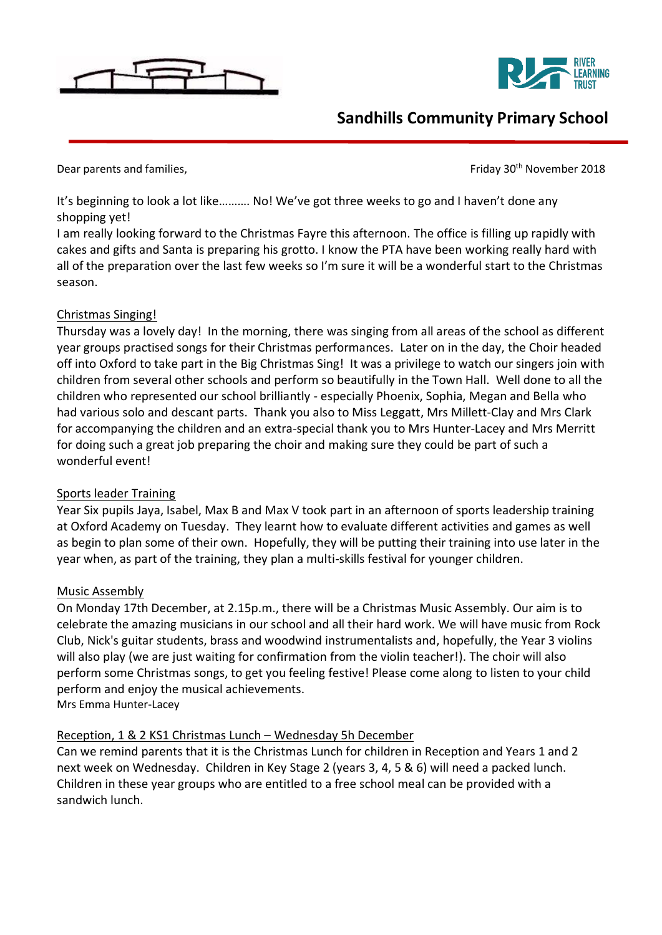



# **Sandhills Community Primary School**

Dear parents and families, Dear parents and families,

It's beginning to look a lot like………. No! We've got three weeks to go and I haven't done any shopping yet!

I am really looking forward to the Christmas Fayre this afternoon. The office is filling up rapidly with cakes and gifts and Santa is preparing his grotto. I know the PTA have been working really hard with all of the preparation over the last few weeks so I'm sure it will be a wonderful start to the Christmas season.

## Christmas Singing!

Thursday was a lovely day! In the morning, there was singing from all areas of the school as different year groups practised songs for their Christmas performances. Later on in the day, the Choir headed off into Oxford to take part in the Big Christmas Sing! It was a privilege to watch our singers join with children from several other schools and perform so beautifully in the Town Hall. Well done to all the children who represented our school brilliantly - especially Phoenix, Sophia, Megan and Bella who had various solo and descant parts. Thank you also to Miss Leggatt, Mrs Millett-Clay and Mrs Clark for accompanying the children and an extra-special thank you to Mrs Hunter-Lacey and Mrs Merritt for doing such a great job preparing the choir and making sure they could be part of such a wonderful event!

## Sports leader Training

Year Six pupils Jaya, Isabel, Max B and Max V took part in an afternoon of sports leadership training at Oxford Academy on Tuesday. They learnt how to evaluate different activities and games as well as begin to plan some of their own. Hopefully, they will be putting their training into use later in the year when, as part of the training, they plan a multi-skills festival for younger children.

## Music Assembly

On Monday 17th December, at 2.15p.m., there will be a Christmas Music Assembly. Our aim is to celebrate the amazing musicians in our school and all their hard work. We will have music from Rock Club, Nick's guitar students, brass and woodwind instrumentalists and, hopefully, the Year 3 violins will also play (we are just waiting for confirmation from the violin teacher!). The choir will also perform some Christmas songs, to get you feeling festive! Please come along to listen to your child perform and enjoy the musical achievements.

Mrs Emma Hunter-Lacey

## Reception, 1 & 2 KS1 Christmas Lunch – Wednesday 5h December

Can we remind parents that it is the Christmas Lunch for children in Reception and Years 1 and 2 next week on Wednesday. Children in Key Stage 2 (years 3, 4, 5 & 6) will need a packed lunch. Children in these year groups who are entitled to a free school meal can be provided with a sandwich lunch.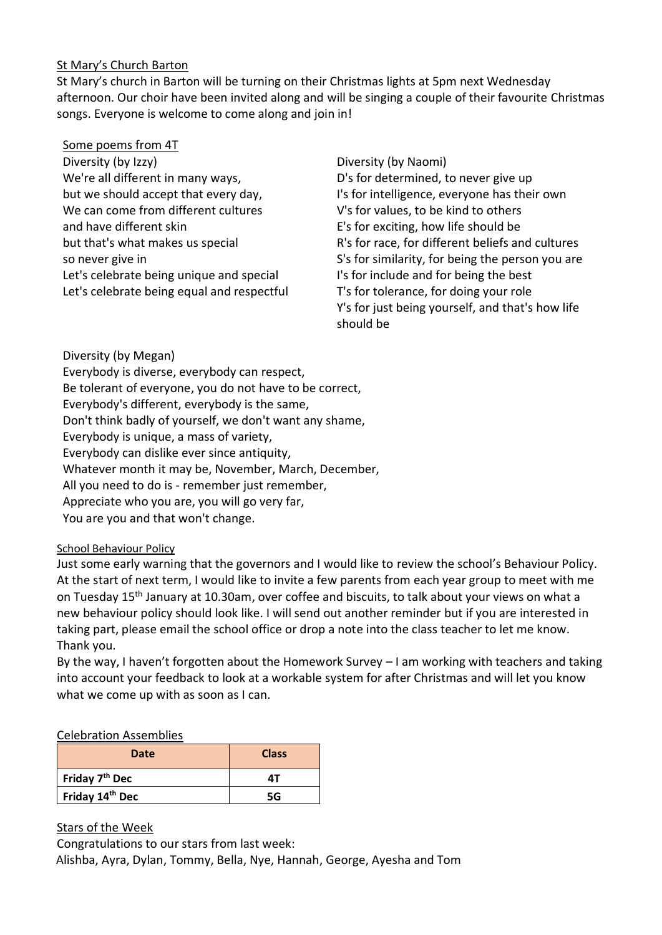#### St Mary's Church Barton

St Mary's church in Barton will be turning on their Christmas lights at 5pm next Wednesday afternoon. Our choir have been invited along and will be singing a couple of their favourite Christmas songs. Everyone is welcome to come along and join in!

- Some poems from 4T
- Diversity (by Izzy) We're all different in many ways, but we should accept that every day, We can come from different cultures and have different skin but that's what makes us special so never give in Let's celebrate being unique and special Let's celebrate being equal and respectful
- Diversity (by Naomi) D's for determined, to never give up I's for intelligence, everyone has their own V's for values, to be kind to others E's for exciting, how life should be R's for race, for different beliefs and cultures S's for similarity, for being the person you are I's for include and for being the best T's for tolerance, for doing your role Y's for just being yourself, and that's how life should be

Diversity (by Megan)

Everybody is diverse, everybody can respect, Be tolerant of everyone, you do not have to be correct, Everybody's different, everybody is the same, Don't think badly of yourself, we don't want any shame, Everybody is unique, a mass of variety, Everybody can dislike ever since antiquity, Whatever month it may be, November, March, December, All you need to do is - remember just remember, Appreciate who you are, you will go very far, You are you and that won't change.

#### School Behaviour Policy

Just some early warning that the governors and I would like to review the school's Behaviour Policy. At the start of next term, I would like to invite a few parents from each year group to meet with me on Tuesday 15th January at 10.30am, over coffee and biscuits, to talk about your views on what a new behaviour policy should look like. I will send out another reminder but if you are interested in taking part, please email the school office or drop a note into the class teacher to let me know. Thank you.

By the way, I haven't forgotten about the Homework Survey – I am working with teachers and taking into account your feedback to look at a workable system for after Christmas and will let you know what we come up with as soon as I can.

#### Celebration Assemblies

| Date                       | <b>Class</b> |
|----------------------------|--------------|
| Friday 7 <sup>th</sup> Dec | ΔT           |
| Friday 14th Dec            | 5G           |

Stars of the Week

Congratulations to our stars from last week: Alishba, Ayra, Dylan, Tommy, Bella, Nye, Hannah, George, Ayesha and Tom